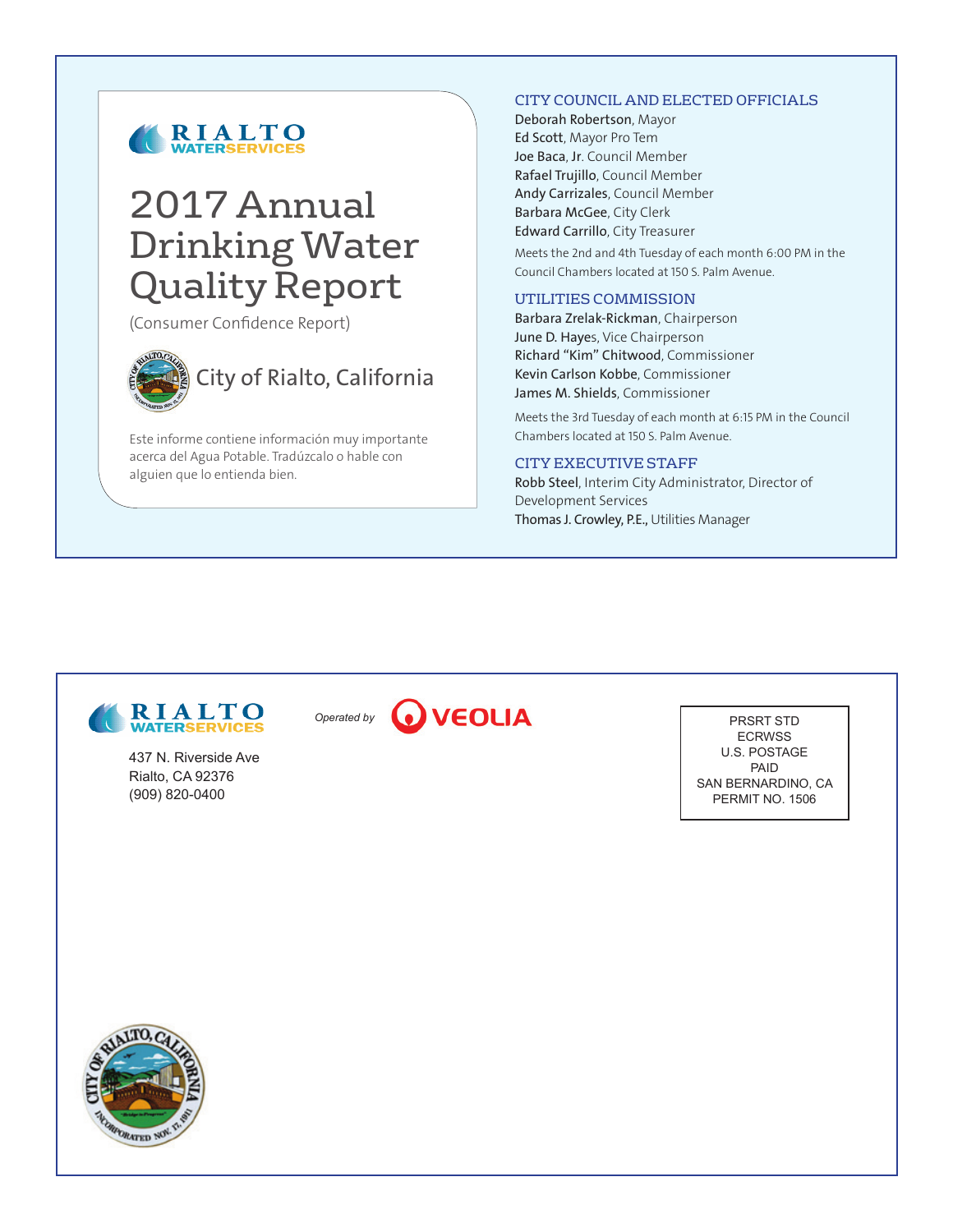

# 2017 Annual Drinking Water Quality Report

(Consumer Confidence Report)



City of Rialto, California

Este informe contiene información muy importante acerca del Agua Potable. Tradúzcalo o hable con alguien que lo entienda bien.

#### CITY COUNCIL AND ELECTED OFFICIALS

Deborah Robertson, Mayor Ed Scott, Mayor Pro Tem Joe Baca, Jr. Council Member Rafael Trujillo, Council Member Andy Carrizales, Council Member Barbara McGee, City Clerk Edward Carrillo, City Treasurer

Meets the 2nd and 4th Tuesday of each month 6:00 PM in the Council Chambers located at 150 S. Palm Avenue.

#### UTILITIES COMMISSION

Barbara Zrelak-Rickman, Chairperson June D. Hayes, Vice Chairperson Richard "Kim" Chitwood, Commissioner Kevin Carlson Kobbe, Commissioner James M. Shields, Commissioner

Meets the 3rd Tuesday of each month at 6:15 PM in the Council Chambers located at 150 S. Palm Avenue.

#### CITY EXECUTIVE STAFF

Robb Steel, Interim City Administrator, Director of Development Services Thomas J. Crowley, P.E., Utilities Manager



437 N. Riverside Ave Rialto, CA 92376 (909) 820-0400



PRSRT STD ECRWSS U.S. POSTAGE PAID SAN BERNARDINO, CA PERMIT NO. 1506

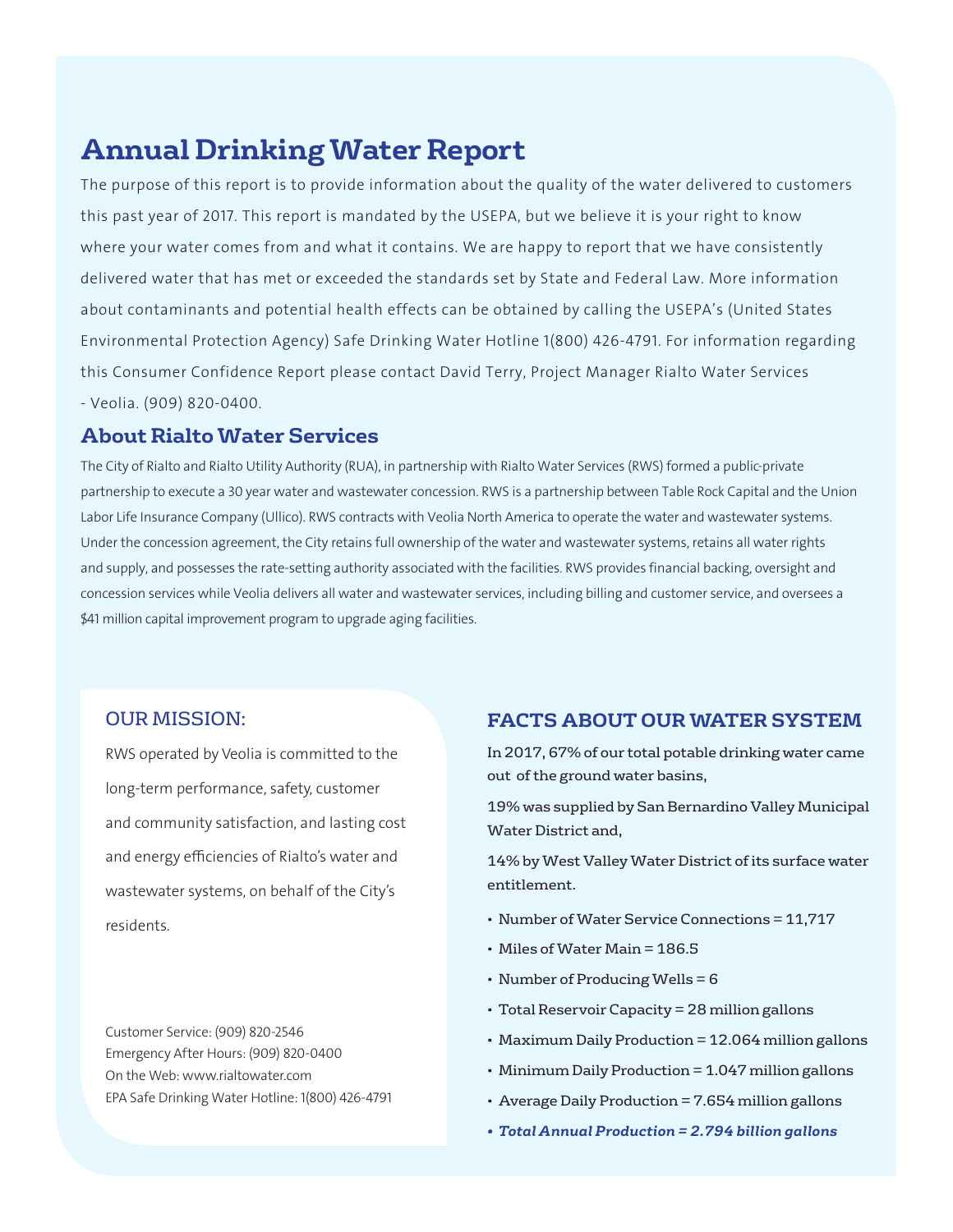## **Annual Drinking Water Report**

The purpose of this report is to provide information about the quality of the water delivered to customers this past year of 2017. This report is mandated by the USEPA, but we believe it is your right to know where your water comes from and what it contains. We are happy to report that we have consistently delivered water that has met or exceeded the standards set by State and Federal Law. More information about contaminants and potential health effects can be obtained by calling the USEPA's (United States Environmental Protection Agency) Safe Drinking Water Hotline 1(800) 426-4791. For information regarding this Consumer Confidence Report please contact David Terry, Project Manager Rialto Water Services - Veolia. (909) 820-0400.

## **About Rialto Water Services**

The City of Rialto and Rialto Utility Authority (RUA), in partnership with Rialto Water Services (RWS) formed a public-private partnership to execute a 30 year water and wastewater concession. RWS is a partnership between Table Rock Capital and the Union Labor Life Insurance Company (Ullico). RWS contracts with Veolia North America to operate the water and wastewater systems. Under the concession agreement, the City retains full ownership of the water and wastewater systems, retains all water rights and supply, and possesses the rate-setting authority associated with the facilities. RWS provides financial backing, oversight and concession services while Veolia delivers all water and wastewater services, including billing and customer service, and oversees a \$41 million capital improvement program to upgrade aging facilities.

### OUR MISSION:

RWS operated by Veolia is committed to the long-term performance, safety, customer and community satisfaction, and lasting cost and energy efficiencies of Rialto's water and wastewater systems, on behalf of the City's residents.

Customer Service: (909) 820-2546 Emergency After Hours: (909) 820-0400 On the Web: www.rialtowater.com EPA Safe Drinking Water Hotline: 1(800) 426-4791

### **FACTS ABOUT OUR WATER SYSTEM**

In 2017, 67% of our total potable drinking water came out of the ground water basins,

19% was supplied by San Bernardino Valley Municipal Water District and,

14% by West Valley Water District of its surface water entitlement.

- Number of Water Service Connections = 11,717
- Miles of Water Main = 186.5
- Number of Producing Wells = 6
- Total Reservoir Capacity = 28 million gallons
- Maximum Daily Production = 12.064 million gallons
- Minimum Daily Production = 1.047 million gallons
- Average Daily Production = 7.654 million gallons
- *• Total Annual Production = 2.794 billion gallons*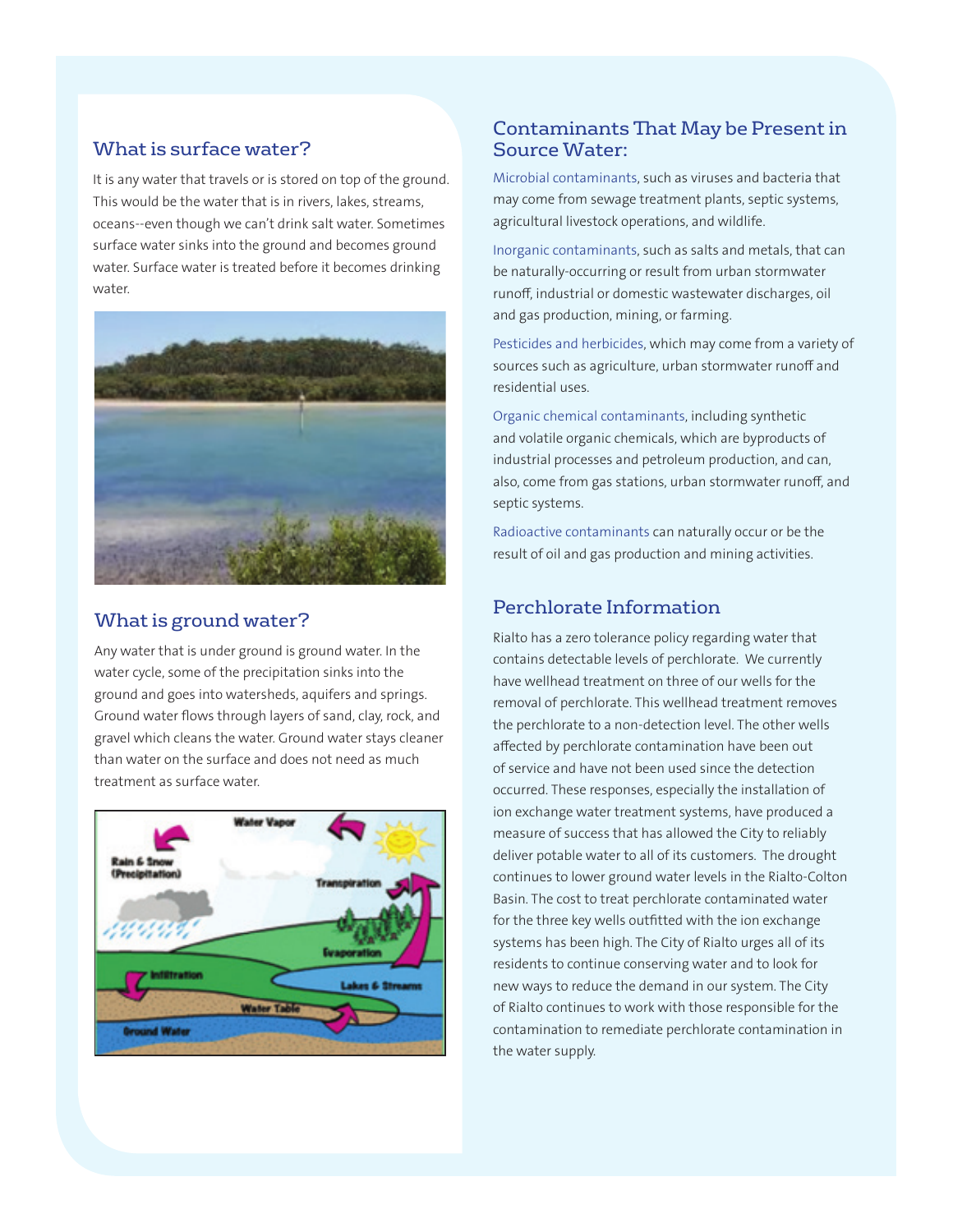## What is surface water?

It is any water that travels or is stored on top of the ground. This would be the water that is in rivers, lakes, streams, oceans--even though we can't drink salt water. Sometimes surface water sinks into the ground and becomes ground water. Surface water is treated before it becomes drinking water.



## What is ground water?

Any water that is under ground is ground water. In the water cycle, some of the precipitation sinks into the ground and goes into watersheds, aquifers and springs. Ground water flows through layers of sand, clay, rock, and gravel which cleans the water. Ground water stays cleaner than water on the surface and does not need as much treatment as surface water.



## Contaminants That May be Present in Source Water:

Microbial contaminants, such as viruses and bacteria that may come from sewage treatment plants, septic systems, agricultural livestock operations, and wildlife.

Inorganic contaminants, such as salts and metals, that can be naturally-occurring or result from urban stormwater runoff, industrial or domestic wastewater discharges, oil and gas production, mining, or farming.

Pesticides and herbicides, which may come from a variety of sources such as agriculture, urban stormwater runoff and residential uses.

Organic chemical contaminants, including synthetic and volatile organic chemicals, which are byproducts of industrial processes and petroleum production, and can, also, come from gas stations, urban stormwater runoff, and septic systems.

Radioactive contaminants can naturally occur or be the result of oil and gas production and mining activities.

## Perchlorate Information

Rialto has a zero tolerance policy regarding water that contains detectable levels of perchlorate. We currently have wellhead treatment on three of our wells for the removal of perchlorate. This wellhead treatment removes the perchlorate to a non-detection level. The other wells affected by perchlorate contamination have been out of service and have not been used since the detection occurred. These responses, especially the installation of ion exchange water treatment systems, have produced a measure of success that has allowed the City to reliably deliver potable water to all of its customers. The drought continues to lower ground water levels in the Rialto-Colton Basin. The cost to treat perchlorate contaminated water for the three key wells outfitted with the ion exchange systems has been high. The City of Rialto urges all of its residents to continue conserving water and to look for new ways to reduce the demand in our system. The City of Rialto continues to work with those responsible for the contamination to remediate perchlorate contamination in the water supply.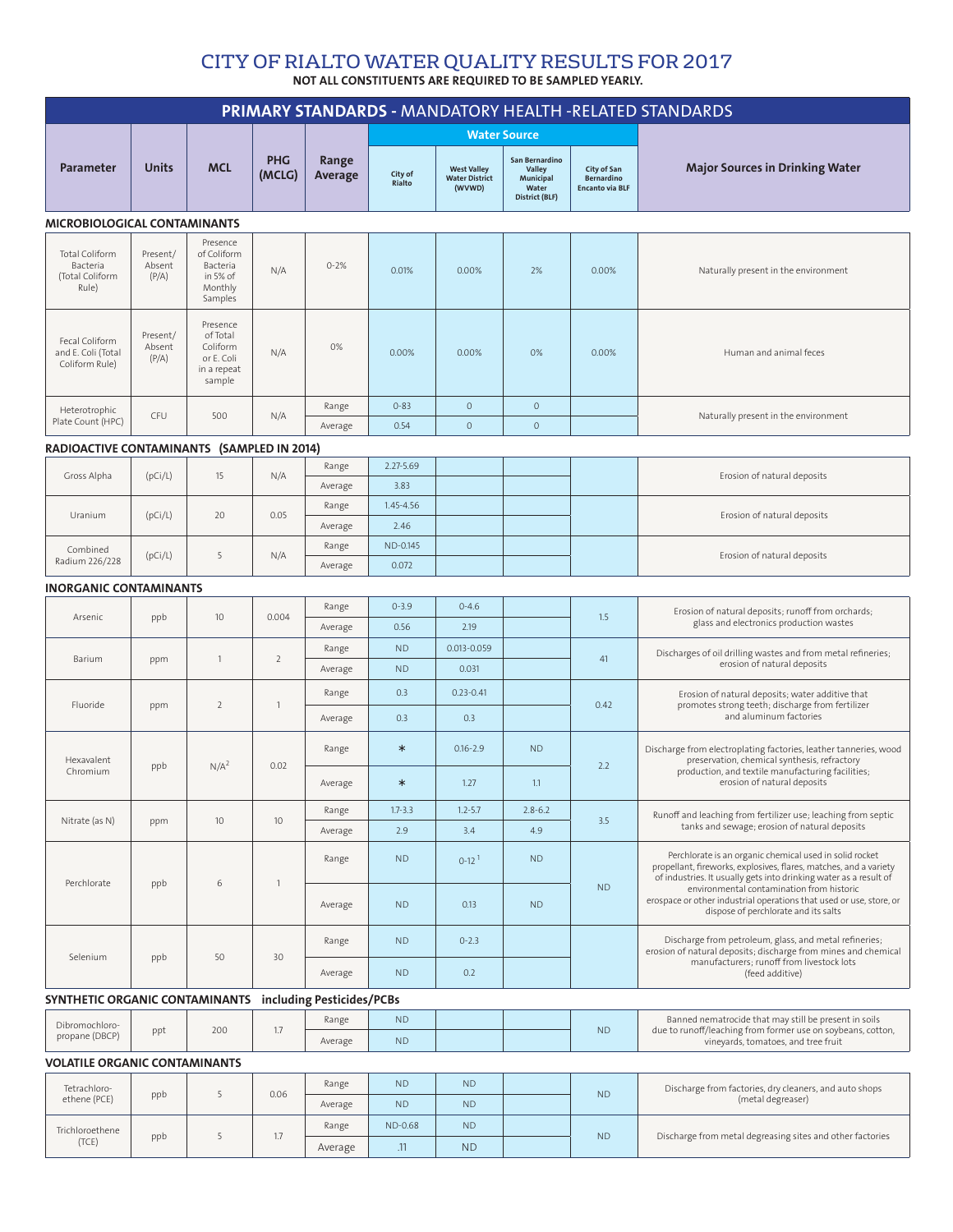#### NOT ALL CONSTITUENTS ARE REQUIRED TO BE SAMPLED YEARLY. CITY OF RIALTO WATER QUALITY RESULTS FOR 2017

|                                                             |                             |                                                                         |                      |                  |                      |                                                       |                                                                         |                                                            | PRIMARY STANDARDS - MANDATORY HEALTH -RELATED STANDARDS                                                                                                                                                                                                                                                                                                       |  |
|-------------------------------------------------------------|-----------------------------|-------------------------------------------------------------------------|----------------------|------------------|----------------------|-------------------------------------------------------|-------------------------------------------------------------------------|------------------------------------------------------------|---------------------------------------------------------------------------------------------------------------------------------------------------------------------------------------------------------------------------------------------------------------------------------------------------------------------------------------------------------------|--|
|                                                             |                             |                                                                         |                      |                  |                      | <b>Water Source</b>                                   |                                                                         |                                                            |                                                                                                                                                                                                                                                                                                                                                               |  |
| Parameter                                                   | <b>Units</b>                | <b>MCL</b>                                                              | <b>PHG</b><br>(MCLG) | Range<br>Average | City of<br>Rialto    | <b>West Valley</b><br><b>Water District</b><br>(WVWD) | San Bernardino<br><b>Valley</b><br>Municipal<br>Water<br>District (BLF) | City of San<br><b>Bernardino</b><br><b>Encanto via BLF</b> | <b>Major Sources in Drinking Water</b>                                                                                                                                                                                                                                                                                                                        |  |
| <b>MICROBIOLOGICAL CONTAMINANTS</b>                         |                             |                                                                         |                      |                  |                      |                                                       |                                                                         |                                                            |                                                                                                                                                                                                                                                                                                                                                               |  |
| Total Coliform<br>Bacteria<br>(Total Coliform<br>Rule)      | Present/<br>Absent<br>(P/A) | Presence<br>of Coliform<br>Bacteria<br>in 5% of<br>Monthly<br>Samples   | N/A                  | $0 - 2%$         | 0.01%                | 0.00%                                                 | 2%                                                                      | 0.00%                                                      | Naturally present in the environment                                                                                                                                                                                                                                                                                                                          |  |
| Fecal Coliform<br>and E. Coli (Total<br>Coliform Rule)      | Present/<br>Absent<br>(P/A) | Presence<br>of Total<br>Coliform<br>or E. Coli<br>in a repeat<br>sample | N/A                  | 0%               | 0.00%                | 0.00%                                                 | 0%                                                                      | 0.00%                                                      | Human and animal feces                                                                                                                                                                                                                                                                                                                                        |  |
| Heterotrophic                                               |                             |                                                                         |                      | Range            | $0 - 83$             | $\circ$                                               | $\circ$                                                                 |                                                            |                                                                                                                                                                                                                                                                                                                                                               |  |
| Plate Count (HPC)                                           | CFU                         | 500                                                                     | N/A                  | Average          | 0.54                 | $\circ$                                               | $\circ$                                                                 |                                                            | Naturally present in the environment                                                                                                                                                                                                                                                                                                                          |  |
| RADIOACTIVE CONTAMINANTS (SAMPLED IN 2014)                  |                             |                                                                         |                      |                  |                      |                                                       |                                                                         |                                                            |                                                                                                                                                                                                                                                                                                                                                               |  |
| Gross Alpha                                                 | (pCi/L)                     | 15                                                                      | N/A                  | Range            | $2.27 - 5.69$        |                                                       |                                                                         |                                                            | Erosion of natural deposits                                                                                                                                                                                                                                                                                                                                   |  |
|                                                             |                             |                                                                         |                      | Average          | 3.83                 |                                                       |                                                                         |                                                            |                                                                                                                                                                                                                                                                                                                                                               |  |
| Uranium                                                     | (pCi/L)                     | 20                                                                      | 0.05                 | Range            | 1.45-4.56            |                                                       |                                                                         |                                                            | Erosion of natural deposits                                                                                                                                                                                                                                                                                                                                   |  |
|                                                             |                             |                                                                         |                      | Average          | 2.46                 |                                                       |                                                                         |                                                            |                                                                                                                                                                                                                                                                                                                                                               |  |
| Combined<br>Radium 226/228                                  | (pCi/L)                     |                                                                         | N/A                  | Range            | ND-0.145             |                                                       |                                                                         |                                                            | Erosion of natural deposits                                                                                                                                                                                                                                                                                                                                   |  |
| 0.072<br>Average                                            |                             |                                                                         |                      |                  |                      |                                                       |                                                                         |                                                            |                                                                                                                                                                                                                                                                                                                                                               |  |
| <b>INORGANIC CONTAMINANTS</b>                               |                             |                                                                         |                      | Range            | $0 - 3.9$            | $0 - 4.6$                                             |                                                                         |                                                            |                                                                                                                                                                                                                                                                                                                                                               |  |
| Arsenic                                                     | ppb                         | 10                                                                      | 0.004                | Average          | 0.56                 | 2.19                                                  |                                                                         | 1.5                                                        | Erosion of natural deposits; runoff from orchards;<br>glass and electronics production wastes                                                                                                                                                                                                                                                                 |  |
|                                                             |                             |                                                                         |                      | Range            | <b>ND</b>            | 0.013-0.059                                           |                                                                         |                                                            |                                                                                                                                                                                                                                                                                                                                                               |  |
| Barium                                                      | ppm                         | $\mathbf{1}$                                                            | $\overline{2}$       | Average          | <b>ND</b>            | 0.031                                                 |                                                                         | 41                                                         | Discharges of oil drilling wastes and from metal refineries;<br>erosion of natural deposits                                                                                                                                                                                                                                                                   |  |
|                                                             | Fluoride<br>ppm             | 2                                                                       | $\mathbf{1}$         | Range            | 0.3                  | $0.23 - 0.41$                                         |                                                                         | 0.42                                                       | Erosion of natural deposits; water additive that                                                                                                                                                                                                                                                                                                              |  |
|                                                             |                             |                                                                         |                      | Average          | 0.3                  | 0.3                                                   |                                                                         |                                                            | promotes strong teeth; discharge from fertilizer<br>and aluminum factories                                                                                                                                                                                                                                                                                    |  |
|                                                             |                             |                                                                         |                      | Range            | $\ast$               | $0.16 - 2.9$                                          | <b>ND</b>                                                               |                                                            | Discharge from electroplating factories, leather tanneries, wood<br>preservation, chemical synthesis, refractory<br>production, and textile manufacturing facilities;<br>erosion of natural deposits                                                                                                                                                          |  |
| Hexavalent<br>Chromium                                      | ppb                         | N/A <sup>2</sup>                                                        | 0.02                 | Average          | $\ast$               | 1.27                                                  | 1.1                                                                     | 2.2                                                        |                                                                                                                                                                                                                                                                                                                                                               |  |
|                                                             |                             |                                                                         |                      | Range            | $1.7 - 3.3$          | $1.2 - 5.7$                                           | $2.8 - 6.2$                                                             |                                                            | Runoff and leaching from fertilizer use; leaching from septic                                                                                                                                                                                                                                                                                                 |  |
| Nitrate (as N)                                              | ppm                         | 10                                                                      | 10                   | Average          | 2.9                  | 3.4                                                   | 4.9                                                                     | 3.5                                                        | tanks and sewage; erosion of natural deposits                                                                                                                                                                                                                                                                                                                 |  |
|                                                             |                             |                                                                         |                      | Range            | <b>ND</b>            | $0-12$ <sup>1</sup>                                   | <b>ND</b>                                                               | <b>ND</b>                                                  | Perchlorate is an organic chemical used in solid rocket<br>propellant, fireworks, explosives, flares, matches, and a variety<br>of industries. It usually gets into drinking water as a result of<br>environmental contamination from historic<br>erospace or other industrial operations that used or use, store, or<br>dispose of perchlorate and its salts |  |
| Perchlorate                                                 | ppb                         | 6                                                                       | $\mathbf{1}$         | Average          | <b>ND</b>            | 0.13                                                  | <b>ND</b>                                                               |                                                            |                                                                                                                                                                                                                                                                                                                                                               |  |
| Selenium                                                    | ppb                         | 50                                                                      | 30                   | Range            | <b>ND</b>            | $0 - 2.3$                                             |                                                                         |                                                            | Discharge from petroleum, glass, and metal refineries;<br>erosion of natural deposits; discharge from mines and chemical                                                                                                                                                                                                                                      |  |
|                                                             |                             |                                                                         |                      | Average          | <b>ND</b>            | 0.2                                                   |                                                                         |                                                            | manufacturers; runoff from livestock lots<br>(feed additive)                                                                                                                                                                                                                                                                                                  |  |
| SYNTHETIC ORGANIC CONTAMINANTS<br>including Pesticides/PCBs |                             |                                                                         |                      |                  |                      |                                                       |                                                                         |                                                            |                                                                                                                                                                                                                                                                                                                                                               |  |
| Dibromochloro-                                              | ppt                         | 200                                                                     | 1.7                  | Range            | <b>ND</b>            |                                                       |                                                                         | N <sub>D</sub>                                             | Banned nematrocide that may still be present in soils<br>due to runoff/leaching from former use on soybeans, cotton,<br>vineyards, tomatoes, and tree fruit                                                                                                                                                                                                   |  |
| propane (DBCP)                                              |                             |                                                                         |                      | Average          | <b>ND</b>            |                                                       |                                                                         |                                                            |                                                                                                                                                                                                                                                                                                                                                               |  |
| <b>VOLATILE ORGANIC CONTAMINANTS</b>                        |                             |                                                                         |                      |                  |                      |                                                       |                                                                         |                                                            |                                                                                                                                                                                                                                                                                                                                                               |  |
| Tetrachloro-<br>ethene (PCE)                                | ppb                         | 5                                                                       | 0.06                 | Range            | <b>ND</b>            | <b>ND</b>                                             |                                                                         | <b>ND</b>                                                  | Discharge from factories, dry cleaners, and auto shops<br>(metal degreaser)                                                                                                                                                                                                                                                                                   |  |
|                                                             |                             |                                                                         |                      | Average          | <b>ND</b>            | <b>ND</b>                                             |                                                                         |                                                            |                                                                                                                                                                                                                                                                                                                                                               |  |
| Trichloroethene<br>(TCE)                                    | ppb                         | 5                                                                       | 1.7                  | Range            | <b>ND-0.68</b><br>11 | <b>ND</b><br><b>NID</b>                               |                                                                         | <b>ND</b>                                                  | Discharge from metal degreasing sites and other factories                                                                                                                                                                                                                                                                                                     |  |

Average .11 ND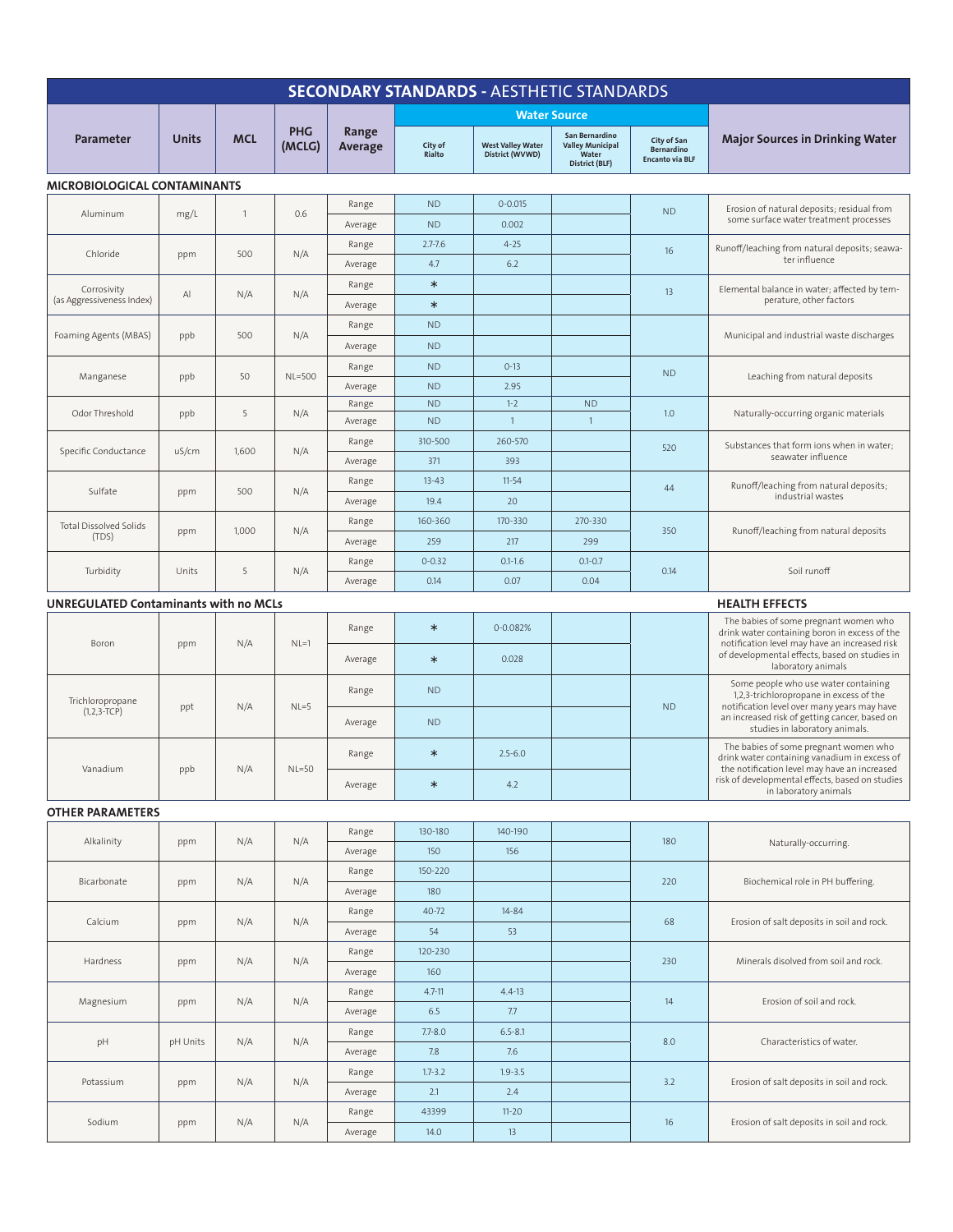| <b>SECONDARY STANDARDS - AESTHETIC STANDARDS</b> |              |              |                      |                  |                   |                                             |                                                                      |                                                            |                                                                                                                                                                                                                   |  |
|--------------------------------------------------|--------------|--------------|----------------------|------------------|-------------------|---------------------------------------------|----------------------------------------------------------------------|------------------------------------------------------------|-------------------------------------------------------------------------------------------------------------------------------------------------------------------------------------------------------------------|--|
|                                                  |              |              |                      |                  |                   |                                             | <b>Water Source</b>                                                  |                                                            |                                                                                                                                                                                                                   |  |
| <b>Parameter</b>                                 | <b>Units</b> | <b>MCL</b>   | <b>PHG</b><br>(MCLG) | Range<br>Average | City of<br>Rialto | <b>West Valley Water</b><br>District (WVWD) | San Bernardino<br><b>Valley Municipal</b><br>Water<br>District (BLF) | City of San<br><b>Bernardino</b><br><b>Encanto via BLF</b> | <b>Major Sources in Drinking Water</b>                                                                                                                                                                            |  |
| MICROBIOLOGICAL CONTAMINANTS                     |              |              |                      |                  |                   |                                             |                                                                      |                                                            |                                                                                                                                                                                                                   |  |
|                                                  |              | $\mathbf{1}$ |                      | Range            | <b>ND</b>         | $0 - 0.015$                                 |                                                                      | <b>ND</b>                                                  | Erosion of natural deposits; residual from                                                                                                                                                                        |  |
| Aluminum                                         | mg/L         |              | 0.6                  | Average          | <b>ND</b>         | 0.002                                       |                                                                      |                                                            | some surface water treatment processes                                                                                                                                                                            |  |
|                                                  |              | 500          |                      | Range            | $2.7 - 7.6$       | $4 - 25$                                    |                                                                      | 16                                                         | Runoff/leaching from natural deposits; seawa-                                                                                                                                                                     |  |
| Chloride                                         | ppm          |              | N/A                  | Average          | 4.7               | 6.2                                         |                                                                      |                                                            | ter influence                                                                                                                                                                                                     |  |
| Corrosivity                                      |              |              | Range                | $\ast$           |                   |                                             | 13                                                                   | Elemental balance in water; affected by tem-               |                                                                                                                                                                                                                   |  |
| (as Aggressiveness Index)                        | Al           | N/A          | N/A                  | Average          | $\ast$            |                                             |                                                                      |                                                            | perature, other factors                                                                                                                                                                                           |  |
|                                                  |              | 500          |                      | Range            | <b>ND</b>         |                                             |                                                                      |                                                            |                                                                                                                                                                                                                   |  |
| Foaming Agents (MBAS)                            | ppb          |              | N/A                  | Average          | <b>ND</b>         |                                             |                                                                      |                                                            | Municipal and industrial waste discharges                                                                                                                                                                         |  |
|                                                  |              | 50           |                      | Range            | <b>ND</b>         | $0-13$                                      |                                                                      | <b>ND</b>                                                  |                                                                                                                                                                                                                   |  |
| Manganese                                        | ppb          |              | <b>NL=500</b>        | Average          | <b>ND</b>         | 2.95                                        |                                                                      |                                                            | Leaching from natural deposits                                                                                                                                                                                    |  |
| Odor Threshold                                   | ppb          | 5            | N/A                  | Range            | <b>ND</b>         | $1 - 2$                                     | <b>ND</b>                                                            | 1.0                                                        | Naturally-occurring organic materials                                                                                                                                                                             |  |
|                                                  |              |              |                      | Average          | <b>ND</b>         | $\mathbf{1}$                                | $\mathbf{1}$                                                         |                                                            |                                                                                                                                                                                                                   |  |
| Specific Conductance                             | uS/cm        | 1,600        | N/A                  | Range            | 310-500           | 260-570                                     |                                                                      | 520<br>44                                                  | Substances that form ions when in water;<br>seawater influence                                                                                                                                                    |  |
|                                                  |              |              |                      | Average          | 371               | 393                                         |                                                                      |                                                            |                                                                                                                                                                                                                   |  |
| Sulfate                                          | ppm          | 500          | N/A                  | Range            | $13 - 43$         | $11-54$                                     |                                                                      |                                                            | Runoff/leaching from natural deposits;<br>industrial wastes                                                                                                                                                       |  |
|                                                  |              |              |                      | Average          | 19.4              | 20                                          |                                                                      |                                                            |                                                                                                                                                                                                                   |  |
| <b>Total Dissolved Solids</b><br>(TDS)           | ppm          | 1,000        | N/A                  | Range            | 160-360           | 170-330                                     | 270-330                                                              | 350                                                        | Runoff/leaching from natural deposits                                                                                                                                                                             |  |
|                                                  |              |              |                      | Average          | 259               | 217                                         | 299                                                                  |                                                            |                                                                                                                                                                                                                   |  |
| Turbidity                                        | Units        | 5            | N/A                  | Range            | $0 - 0.32$        | $0.1 - 1.6$                                 | $0.1 - 0.7$                                                          | 0.14                                                       | Soil runoff                                                                                                                                                                                                       |  |
|                                                  |              |              |                      | Average          | 0.14              | 0.07                                        | 0.04                                                                 |                                                            |                                                                                                                                                                                                                   |  |
| <b>UNREGULATED Contaminants with no MCLs</b>     |              |              |                      |                  |                   |                                             |                                                                      |                                                            | <b>HEALTH EFFECTS</b>                                                                                                                                                                                             |  |
| Boron                                            | ppm          | N/A          | $NL=1$               | Range            | $\ast$            | 0-0.082%                                    |                                                                      |                                                            | The babies of some pregnant women who<br>drink water containing boron in excess of the<br>notification level may have an increased risk<br>of developmental effects, based on studies in<br>laboratory animals    |  |
|                                                  |              |              |                      | Average          | $\ast$            | 0.028                                       |                                                                      |                                                            |                                                                                                                                                                                                                   |  |
|                                                  | ppt          | N/A          | $NL=5$               | Range            | <b>ND</b>         |                                             |                                                                      | <b>ND</b>                                                  | Some people who use water containing<br>1,2,3-trichloropropane in excess of the<br>notification level over many years may have<br>an increased risk of getting cancer, based on<br>studies in laboratory animals. |  |
| Trichloropropane<br>$(1, 2, 3 - TCP)$            |              |              |                      | Average          | <b>ND</b>         |                                             |                                                                      |                                                            |                                                                                                                                                                                                                   |  |
|                                                  | ppb          | N/A          | $NL=50$              | Range            | $\ast$            | $2.5 - 6.0$                                 |                                                                      |                                                            | The babies of some pregnant women who<br>drink water containing vanadium in excess of<br>the notification level may have an increased<br>risk of developmental effects, based on studies<br>in laboratory animals |  |
| Vanadium                                         |              |              |                      | Average          | $\ast$            | 4.2                                         |                                                                      |                                                            |                                                                                                                                                                                                                   |  |
| <b>OTHER PARAMETERS</b>                          |              |              |                      |                  |                   |                                             |                                                                      |                                                            |                                                                                                                                                                                                                   |  |
| Alkalinity                                       | ppm          | N/A          | N/A                  | Range            | 130-180           | 140-190                                     |                                                                      | 180                                                        | Naturally-occurring.                                                                                                                                                                                              |  |
|                                                  |              |              |                      | Average          | 150               | 156                                         |                                                                      |                                                            |                                                                                                                                                                                                                   |  |
| Bicarbonate                                      | ppm          | N/A          | N/A                  | Range            | 150-220           |                                             |                                                                      | 220                                                        | Biochemical role in PH buffering.                                                                                                                                                                                 |  |
|                                                  |              |              |                      | Average          | 180               |                                             |                                                                      |                                                            |                                                                                                                                                                                                                   |  |
| Calcium                                          | ppm          | N/A          | N/A                  | Range            | 40-72             | $14 - 84$                                   |                                                                      | 68                                                         | Erosion of salt deposits in soil and rock.                                                                                                                                                                        |  |
|                                                  |              |              |                      | Average          | 54                | 53                                          |                                                                      |                                                            |                                                                                                                                                                                                                   |  |
| Hardness                                         | ppm          | N/A          | N/A                  | Range            | 120-230           |                                             |                                                                      | 230                                                        | Minerals disolved from soil and rock.                                                                                                                                                                             |  |
|                                                  |              |              |                      | Average          | 160               |                                             |                                                                      |                                                            |                                                                                                                                                                                                                   |  |
| Magnesium                                        | ppm          | N/A          | N/A                  | Range            | $4.7 - 11$        | $4.4 - 13$                                  |                                                                      | 14                                                         | Erosion of soil and rock.                                                                                                                                                                                         |  |
|                                                  |              |              |                      | Average          | 6.5               | 7.7                                         |                                                                      |                                                            |                                                                                                                                                                                                                   |  |
| pH                                               | pH Units     | N/A          | N/A                  | Range            | $7.7 - 8.0$       | $6.5 - 8.1$                                 |                                                                      | 8.0                                                        | Characteristics of water.                                                                                                                                                                                         |  |
|                                                  |              |              |                      | Average          | 7.8               | 7.6                                         |                                                                      |                                                            |                                                                                                                                                                                                                   |  |
| Potassium                                        | ppm          | N/A          | N/A                  | Range            | $1.7 - 3.2$       | $1.9 - 3.5$                                 |                                                                      | 3.2                                                        | Erosion of salt deposits in soil and rock.                                                                                                                                                                        |  |
|                                                  |              |              |                      | Average          | 2.1               | 2.4                                         |                                                                      |                                                            |                                                                                                                                                                                                                   |  |
| Sodium                                           | ppm          | N/A          | N/A                  | Range            | 43399             | $11 - 20$                                   |                                                                      | 16                                                         | Erosion of salt deposits in soil and rock.                                                                                                                                                                        |  |
|                                                  |              |              |                      | Average          | 14.0              | 13                                          |                                                                      |                                                            |                                                                                                                                                                                                                   |  |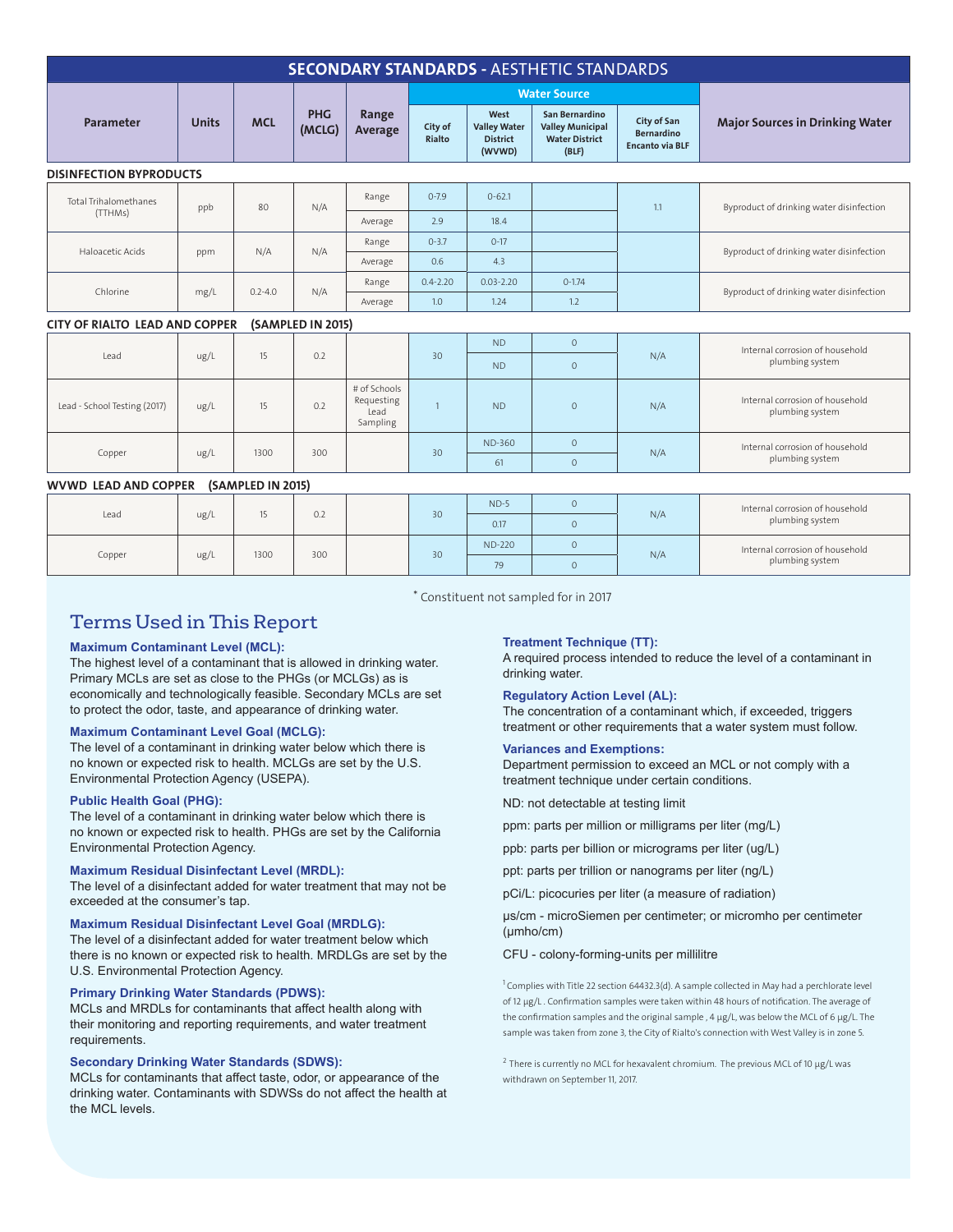| <b>SECONDARY STANDARDS - AESTHETIC STANDARDS</b>           |              |             |                      |                                                |                   |                                                          |                                                                             |                                                            |                                                    |  |  |
|------------------------------------------------------------|--------------|-------------|----------------------|------------------------------------------------|-------------------|----------------------------------------------------------|-----------------------------------------------------------------------------|------------------------------------------------------------|----------------------------------------------------|--|--|
|                                                            | <b>Units</b> | <b>MCL</b>  | <b>PHG</b><br>(MCLG) | Range<br>Average                               |                   |                                                          | <b>Water Source</b>                                                         |                                                            |                                                    |  |  |
| Parameter                                                  |              |             |                      |                                                | City of<br>Rialto | West<br><b>Valley Water</b><br><b>District</b><br>(WVWD) | San Bernardino<br><b>Valley Municipal</b><br><b>Water District</b><br>(BLF) | City of San<br><b>Bernardino</b><br><b>Encanto via BLF</b> | <b>Major Sources in Drinking Water</b>             |  |  |
| <b>DISINFECTION BYPRODUCTS</b>                             |              |             |                      |                                                |                   |                                                          |                                                                             |                                                            |                                                    |  |  |
| <b>Total Trihalomethanes</b><br>(TTHMs)                    | ppb          | 80          | N/A                  | Range                                          | $0 - 7.9$         | $0 - 62.1$                                               |                                                                             | 1.1                                                        | Byproduct of drinking water disinfection           |  |  |
|                                                            |              |             |                      | Average                                        | 2.9               | 18.4                                                     |                                                                             |                                                            |                                                    |  |  |
| Haloacetic Acids                                           | ppm          | N/A         | N/A                  | Range                                          | $0 - 3.7$         | $0 - 17$                                                 |                                                                             |                                                            | Byproduct of drinking water disinfection           |  |  |
|                                                            |              |             |                      | Average                                        | 0.6               | 4.3                                                      |                                                                             |                                                            |                                                    |  |  |
| Chlorine                                                   | mg/L         | $0.2 - 4.0$ | N/A                  | Range                                          | $0.4 - 2.20$      | $0.03 - 2.20$                                            | $0 - 1.74$                                                                  |                                                            | Byproduct of drinking water disinfection           |  |  |
|                                                            |              |             |                      | Average                                        | 1.0               | 1.24                                                     | 1.2                                                                         |                                                            |                                                    |  |  |
| <b>CITY OF RIALTO LEAD AND COPPER</b><br>(SAMPLED IN 2015) |              |             |                      |                                                |                   |                                                          |                                                                             |                                                            |                                                    |  |  |
|                                                            | ug/L         | 15          | 0.2                  |                                                | 30                | <b>ND</b>                                                | $\circ$                                                                     | N/A                                                        | Internal corrosion of household<br>plumbing system |  |  |
| Lead                                                       |              |             |                      |                                                |                   | <b>ND</b>                                                | $\circ$                                                                     |                                                            |                                                    |  |  |
| Lead - School Testing (2017)                               | ug/L         | 15          | 0.2                  | # of Schools<br>Requesting<br>Lead<br>Sampling | $\overline{1}$    | <b>ND</b>                                                | $\circ$                                                                     | N/A                                                        | Internal corrosion of household<br>plumbing system |  |  |
| Copper                                                     | ug/L         | 1300        | 300                  |                                                |                   | ND-360                                                   | $\circ$                                                                     |                                                            | Internal corrosion of household                    |  |  |
|                                                            |              |             |                      | 30                                             | 61                | $\mathbf{0}$                                             | N/A                                                                         | plumbing system                                            |                                                    |  |  |

#### WVWD LEAD AND COPPER (SAMPLED IN 2015)

| Lead   | ug/L | $\sim$ | 0.2 | 30 | $ND-5$        |  | N/A | Internal corrosion of household<br>plumbing system |
|--------|------|--------|-----|----|---------------|--|-----|----------------------------------------------------|
|        |      |        |     |    | 0.17          |  |     |                                                    |
| Copper | ug/L | 1300   | 300 | 30 | <b>ND-220</b> |  | N/A | Internal corrosion of household<br>plumbing system |
|        |      |        |     |    | 79            |  |     |                                                    |

\* Constituent not sampled for in 2017

## Terms Used in This Report

#### **Maximum Contaminant Level (MCL):**

The highest level of a contaminant that is allowed in drinking water. Primary MCLs are set as close to the PHGs (or MCLGs) as is economically and technologically feasible. Secondary MCLs are set to protect the odor, taste, and appearance of drinking water.

#### **Maximum Contaminant Level Goal (MCLG):**

The level of a contaminant in drinking water below which there is no known or expected risk to health. MCLGs are set by the U.S. Environmental Protection Agency (USEPA).

#### **Public Health Goal (PHG):**

The level of a contaminant in drinking water below which there is no known or expected risk to health. PHGs are set by the California Environmental Protection Agency.

#### **Maximum Residual Disinfectant Level (MRDL):**

The level of a disinfectant added for water treatment that may not be exceeded at the consumer's tap.

#### **Maximum Residual Disinfectant Level Goal (MRDLG):**

The level of a disinfectant added for water treatment below which there is no known or expected risk to health. MRDLGs are set by the U.S. Environmental Protection Agency.

#### **Primary Drinking Water Standards (PDWS):**

MCLs and MRDLs for contaminants that affect health along with their monitoring and reporting requirements, and water treatment requirements.

#### **Secondary Drinking Water Standards (SDWS):**

MCLs for contaminants that affect taste, odor, or appearance of the drinking water. Contaminants with SDWSs do not affect the health at the MCL levels.

#### **Treatment Technique (TT):**

A required process intended to reduce the level of a contaminant in drinking water.

#### **Regulatory Action Level (AL):**

The concentration of a contaminant which, if exceeded, triggers treatment or other requirements that a water system must follow.

#### **Variances and Exemptions:**

Department permission to exceed an MCL or not comply with a treatment technique under certain conditions.

ND: not detectable at testing limit

ppm: parts per million or milligrams per liter (mg/L)

ppb: parts per billion or micrograms per liter (ug/L)

ppt: parts per trillion or nanograms per liter (ng/L)

pCi/L: picocuries per liter (a measure of radiation)

µs/cm - microSiemen per centimeter; or micromho per centimeter (µmho/cm)

#### CFU - colony-forming-units per millilitre

<sup>1</sup> Complies with Title 22 section 64432.3(d). A sample collected in May had a perchlorate level of 12 µg/L . Confirmation samples were taken within 48 hours of notification. The average of the confirmation samples and the original sample, 4 μg/L, was below the MCL of 6 μg/L. The sample was taken from zone 3, the City of Rialto's connection with West Valley is in zone 5.

 $2$  There is currently no MCL for hexavalent chromium. The previous MCL of 10  $\mu$ g/L was withdrawn on September 11, 2017.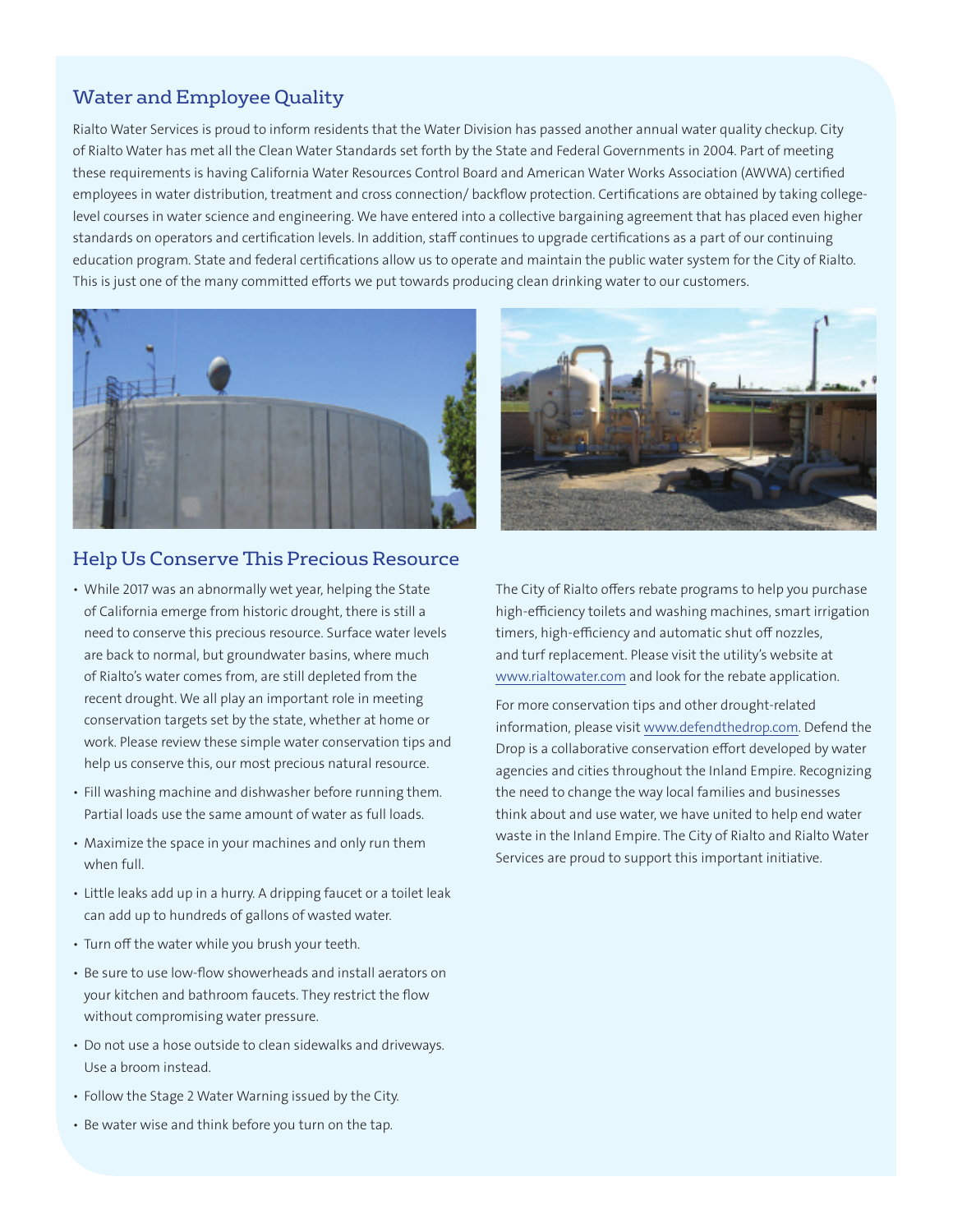## Water and Employee Quality

Rialto Water Services is proud to inform residents that the Water Division has passed another annual water quality checkup. City of Rialto Water has met all the Clean Water Standards set forth by the State and Federal Governments in 2004. Part of meeting these requirements is having California Water Resources Control Board and American Water Works Association (AWWA) certified employees in water distribution, treatment and cross connection/ backflow protection. Certifications are obtained by taking collegelevel courses in water science and engineering. We have entered into a collective bargaining agreement that has placed even higher standards on operators and certification levels. In addition, staff continues to upgrade certifications as a part of our continuing education program. State and federal certifications allow us to operate and maintain the public water system for the City of Rialto. This is just one of the many committed efforts we put towards producing clean drinking water to our customers.



### Help Us Conserve This Precious Resource

- While 2017 was an abnormally wet year, helping the State of California emerge from historic drought, there is still a need to conserve this precious resource. Surface water levels are back to normal, but groundwater basins, where much of Rialto's water comes from, are still depleted from the recent drought. We all play an important role in meeting conservation targets set by the state, whether at home or work. Please review these simple water conservation tips and help us conserve this, our most precious natural resource.
- Fill washing machine and dishwasher before running them. Partial loads use the same amount of water as full loads.
- Maximize the space in your machines and only run them when full.
- Little leaks add up in a hurry. A dripping faucet or a toilet leak can add up to hundreds of gallons of wasted water.
- Turn off the water while you brush your teeth.
- Be sure to use low-flow showerheads and install aerators on your kitchen and bathroom faucets. They restrict the flow without compromising water pressure.
- Do not use a hose outside to clean sidewalks and driveways. Use a broom instead.
- Follow the Stage 2 Water Warning issued by the City.
- Be water wise and think before you turn on the tap.



The City of Rialto offers rebate programs to help you purchase high-efficiency toilets and washing machines, smart irrigation timers, high-efficiency and automatic shut off nozzles, and turf replacement. Please visit the utility's website at www.rialtowater.com and look for the rebate application.

For more conservation tips and other drought-related information, please visit www.defendthedrop.com. Defend the Drop is a collaborative conservation effort developed by water agencies and cities throughout the Inland Empire. Recognizing the need to change the way local families and businesses think about and use water, we have united to help end water waste in the Inland Empire. The City of Rialto and Rialto Water Services are proud to support this important initiative.